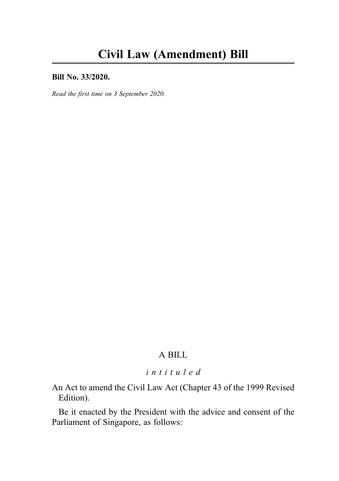### Bill No. 33/2020.

Read the first time on 3 September 2020.

## A BILL

# intituled

An Act to amend the Civil Law Act (Chapter 43 of the 1999 Revised Edition).

Be it enacted by the President with the advice and consent of the Parliament of Singapore, as follows: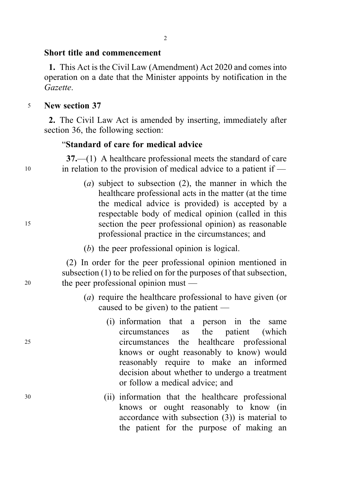## Short title and commencement

1. This Act is the Civil Law (Amendment) Act 2020 and comes into operation on a date that the Minister appoints by notification in the Gazette.

<sup>5</sup> New section 37

2. The Civil Law Act is amended by inserting, immediately after section 36, the following section:

## "Standard of care for medical advice

37.—(1) A healthcare professional meets the standard of care <sup>10</sup> in relation to the provision of medical advice to a patient if —

- (a) subject to subsection (2), the manner in which the healthcare professional acts in the matter (at the time the medical advice is provided) is accepted by a respectable body of medical opinion (called in this <sup>15</sup> section the peer professional opinion) as reasonable professional practice in the circumstances; and
	- (b) the peer professional opinion is logical.

(2) In order for the peer professional opinion mentioned in subsection (1) to be relied on for the purposes of that subsection, <sup>20</sup> the peer professional opinion must —

- (a) require the healthcare professional to have given (or caused to be given) to the patient —
- (i) information that a person in the same circumstances as the patient (which <sup>25</sup> circumstances the healthcare professional knows or ought reasonably to know) would reasonably require to make an informed decision about whether to undergo a treatment or follow a medical advice; and
- <sup>30</sup> (ii) information that the healthcare professional knows or ought reasonably to know (in accordance with subsection (3)) is material to the patient for the purpose of making an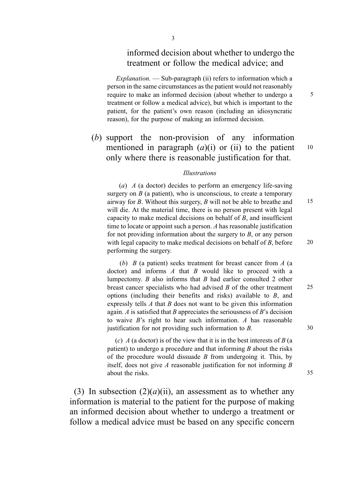### informed decision about whether to undergo the treatment or follow the medical advice; and

 $Explanation$ .  $\rightarrow$  Sub-paragraph (ii) refers to information which a person in the same circumstances as the patient would not reasonably require to make an informed decision (about whether to undergo a 5 treatment or follow a medical advice), but which is important to the patient, for the patient's own reason (including an idiosyncratic reason), for the purpose of making an informed decision.

(b) support the non-provision of any information mentioned in paragraph  $(a)(i)$  or (ii) to the patient 10 only where there is reasonable justification for that.

#### . Illustrations

(a)  $\overline{A}$  (a doctor) decides to perform an emergency life-saving surgery on  $B$  (a patient), who is unconscious, to create a temporary airway for  $B$ . Without this surgery,  $B$  will not be able to breathe and  $15$ will die. At the material time, there is no person present with legal capacity to make medical decisions on behalf of  $B$ , and insufficient time to locate or appoint such a person. A has reasonable justification for not providing information about the surgery to  $B$ , or any person with legal capacity to make medical decisions on behalf of  $B$ , before  $20$ performing the surgery.

(b)  $B$  (a patient) seeks treatment for breast cancer from  $A$  (a doctor) and informs  $A$  that  $B$  would like to proceed with a lumpectomy. B also informs that B had earlier consulted 2 other breast cancer specialists who had advised B of the other treatment 25 options (including their benefits and risks) available to B, and expressly tells  $A$  that  $B$  does not want to be given this information again.  $A$  is satisfied that  $B$  appreciates the seriousness of  $B$ 's decision to waive  $B$ 's right to hear such information. A has reasonable justification for not providing such information to  $B$ . 30

(c)  $\overline{A}$  (a doctor) is of the view that it is in the best interests of  $\overline{B}$  (a patient) to undergo a procedure and that informing  $B$  about the risks of the procedure would dissuade  $B$  from undergoing it. This, by itself, does not give  $A$  reasonable justification for not informing  $B$ about the risks. 35

(3) In subsection  $(2)(a)(ii)$ , an assessment as to whether any information is material to the patient for the purpose of making an informed decision about whether to undergo a treatment or follow a medical advice must be based on any specific concern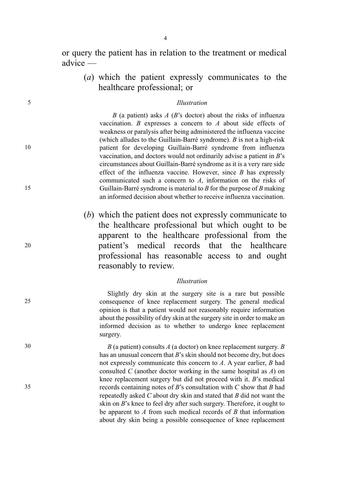or query the patient has in relation to the treatment or medical advice —

(a) which the patient expressly communicates to the healthcare professional; or

#### 5 . Illustration

B (a patient) asks  $A$  (B's doctor) about the risks of influenza vaccination. B expresses a concern to A about side effects of weakness or paralysis after being administered the influenza vaccine (which alludes to the Guillain-Barré syndrome). B is not a high-risk 10 patient for developing Guillain-Barré syndrome from influenza vaccination, and doctors would not ordinarily advise a patient in B's circumstances about Guillain-Barré syndrome as it is a very rare side effect of the influenza vaccine. However, since  $B$  has expressly communicated such a concern to A, information on the risks of 15 Guillain-Barré syndrome is material to B for the purpose of B making an informed decision about whether to receive influenza vaccination.

(b) which the patient does not expressly communicate to the healthcare professional but which ought to be apparent to the healthcare professional from the <sup>20</sup> patient's medical records that the healthcare professional has reasonable access to and ought reasonably to review.

#### . Illustration

Slightly dry skin at the surgery site is a rare but possible 25 consequence of knee replacement surgery. The general medical opinion is that a patient would not reasonably require information about the possibility of dry skin at the surgery site in order to make an informed decision as to whether to undergo knee replacement surgery.

 $30$  B (a patient) consults A (a doctor) on knee replacement surgery. B has an unusual concern that B's skin should not become dry, but does not expressly communicate this concern to A. A year earlier, B had consulted C (another doctor working in the same hospital as  $A$ ) on knee replacement surgery but did not proceed with it. B's medical  $35$  records containing notes of B's consultation with C show that B had repeatedly asked  $C$  about dry skin and stated that  $B$  did not want the skin on B's knee to feel dry after such surgery. Therefore, it ought to be apparent to  $A$  from such medical records of  $B$  that information about dry skin being a possible consequence of knee replacement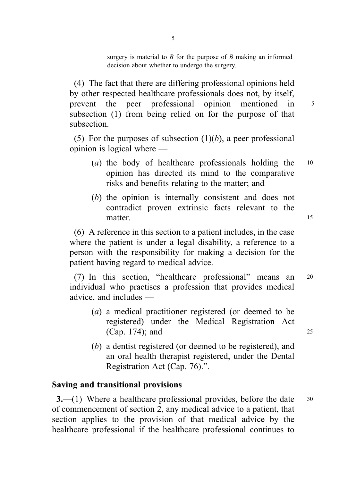surgery is material to  $B$  for the purpose of  $B$  making an informed decision about whether to undergo the surgery.

(4) The fact that there are differing professional opinions held by other respected healthcare professionals does not, by itself, prevent the peer professional opinion mentioned in <sup>5</sup> subsection (1) from being relied on for the purpose of that subsection.

(5) For the purposes of subsection  $(1)(b)$ , a peer professional opinion is logical where —

- (a) the body of healthcare professionals holding the  $10$ opinion has directed its mind to the comparative risks and benefits relating to the matter; and
- (b) the opinion is internally consistent and does not contradict proven extrinsic facts relevant to the matter. 15

(6) A reference in this section to a patient includes, in the case where the patient is under a legal disability, a reference to a person with the responsibility for making a decision for the patient having regard to medical advice.

(7) In this section, "healthcare professional" means an <sup>20</sup> individual who practises a profession that provides medical advice, and includes —

- (a) a medical practitioner registered (or deemed to be registered) under the Medical Registration Act (Cap. 174); and 25
- (b) a dentist registered (or deemed to be registered), and an oral health therapist registered, under the Dental Registration Act (Cap. 76).".

## Saving and transitional provisions

3.—(1) Where a healthcare professional provides, before the date 30 of commencement of section 2, any medical advice to a patient, that section applies to the provision of that medical advice by the healthcare professional if the healthcare professional continues to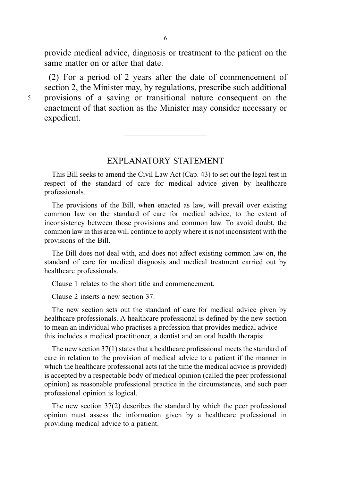provide medical advice, diagnosis or treatment to the patient on the same matter on or after that date.

(2) For a period of 2 years after the date of commencement of section 2, the Minister may, by regulations, prescribe such additional <sup>5</sup> provisions of a saving or transitional nature consequent on the enactment of that section as the Minister may consider necessary or expedient.

### EXPLANATORY STATEMENT

This Bill seeks to amend the Civil Law Act (Cap. 43) to set out the legal test in respect of the standard of care for medical advice given by healthcare professionals.

The provisions of the Bill, when enacted as law, will prevail over existing common law on the standard of care for medical advice, to the extent of inconsistency between those provisions and common law. To avoid doubt, the common law in this area will continue to apply where it is not inconsistent with the provisions of the Bill.

The Bill does not deal with, and does not affect existing common law on, the standard of care for medical diagnosis and medical treatment carried out by healthcare professionals.

Clause 1 relates to the short title and commencement.

Clause 2 inserts a new section 37.

The new section sets out the standard of care for medical advice given by healthcare professionals. A healthcare professional is defined by the new section to mean an individual who practises a profession that provides medical advice this includes a medical practitioner, a dentist and an oral health therapist.

The new section 37(1) states that a healthcare professional meets the standard of care in relation to the provision of medical advice to a patient if the manner in which the healthcare professional acts (at the time the medical advice is provided) is accepted by a respectable body of medical opinion (called the peer professional opinion) as reasonable professional practice in the circumstances, and such peer professional opinion is logical.

The new section 37(2) describes the standard by which the peer professional opinion must assess the information given by a healthcare professional in providing medical advice to a patient.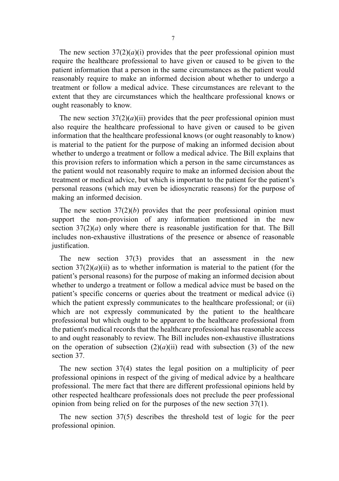The new section  $37(2)(a)(i)$  provides that the peer professional opinion must require the healthcare professional to have given or caused to be given to the patient information that a person in the same circumstances as the patient would reasonably require to make an informed decision about whether to undergo a treatment or follow a medical advice. These circumstances are relevant to the extent that they are circumstances which the healthcare professional knows or ought reasonably to know.

The new section  $37(2)(a)(ii)$  provides that the peer professional opinion must also require the healthcare professional to have given or caused to be given information that the healthcare professional knows (or ought reasonably to know) is material to the patient for the purpose of making an informed decision about whether to undergo a treatment or follow a medical advice. The Bill explains that this provision refers to information which a person in the same circumstances as the patient would not reasonably require to make an informed decision about the treatment or medical advice, but which is important to the patient for the patient's personal reasons (which may even be idiosyncratic reasons) for the purpose of making an informed decision.

The new section  $37(2)(b)$  provides that the peer professional opinion must support the non-provision of any information mentioned in the new section  $37(2)(a)$  only where there is reasonable justification for that. The Bill includes non-exhaustive illustrations of the presence or absence of reasonable justification.

The new section 37(3) provides that an assessment in the new section  $37(2)(a)(ii)$  as to whether information is material to the patient (for the patient's personal reasons) for the purpose of making an informed decision about whether to undergo a treatment or follow a medical advice must be based on the patient's specific concerns or queries about the treatment or medical advice (i) which the patient expressly communicates to the healthcare professional; or (ii) which are not expressly communicated by the patient to the healthcare professional but which ought to be apparent to the healthcare professional from the patient's medical records that the healthcare professional has reasonable access to and ought reasonably to review. The Bill includes non-exhaustive illustrations on the operation of subsection  $(2)(a)(ii)$  read with subsection  $(3)$  of the new section 37.

The new section 37(4) states the legal position on a multiplicity of peer professional opinions in respect of the giving of medical advice by a healthcare professional. The mere fact that there are different professional opinions held by other respected healthcare professionals does not preclude the peer professional opinion from being relied on for the purposes of the new section 37(1).

The new section 37(5) describes the threshold test of logic for the peer professional opinion.